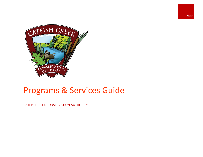

## Programs & Services Guide

CATFISH CREEK CONSERVATION AUTHORITY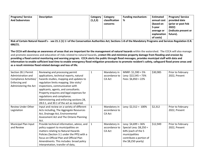| <b>Programs/Service</b><br><b>And Subservices</b> | <b>Description</b> | Category<br>(1,2,3) | Category<br>classification<br>concerns | <b>Funding mechanism-</b><br>% | <b>Estimated</b><br>annual cost<br>(based on<br>5-year | <b>Program/Service</b><br>provided date<br>(prior or post Feb<br>2022) |
|---------------------------------------------------|--------------------|---------------------|----------------------------------------|--------------------------------|--------------------------------------------------------|------------------------------------------------------------------------|
|                                                   |                    |                     |                                        |                                | average or                                             | (indicate present or                                                   |
|                                                   |                    |                     |                                        |                                | explanation                                            | future).                                                               |
|                                                   |                    |                     |                                        |                                | of costs)                                              |                                                                        |

| Risk of Certain Natural Hazard's - see 21.1 (1) 1 i of the Conservation Authorities Act; Sections 1-8 of the Mandatory Programs and Services Regulation O.R. |  |
|--------------------------------------------------------------------------------------------------------------------------------------------------------------|--|
| 686/21.                                                                                                                                                      |  |

**The CCCA will develop an awareness of areas that are important for the management of natural hazards within the watershed. The CCCA will also manage and promote awareness and education of risks related to natural hazards, protect life and minimize property damage from flooding and erosion by providing a flood control monitoring and warning program. CCCA alerts the public through flood messages, provides municipal staff with data and information to enable sufficient lead time to enable emergency flood mitigation procedures to promote resident's safety, safeguard flood prone areas and as a result minimize flood related damage and loss of life.**

| Section 28.1 Permit       | Reviewing and processing permit             |              | Mandatory in  | MNRF: $$1,590 = 5\%$     | \$30,985 | Prior to February |
|---------------------------|---------------------------------------------|--------------|---------------|--------------------------|----------|-------------------|
| Administration and        | applications, technical reports, natural    |              | accordance to | Levy: $$22,545 = 73\%$   |          | 2022, Present     |
| Compliance Activities/    | hazards studies, mapping and updates to     |              | CA Act        | Fees: $$6,850 = 22\%$    |          |                   |
| Enforcing and             | regulation limits mapping. Site visits/     |              |               |                          |          |                   |
| Administering the Act     | inspections, communication with             |              |               |                          |          |                   |
|                           | applicants, agents, and consultants.        |              |               |                          |          |                   |
|                           | Property enquires and legal expenses for    |              |               |                          |          |                   |
|                           |                                             |              |               |                          |          |                   |
|                           | regulations and compliance.                 |              |               |                          |          |                   |
|                           | Administering and enforcing sections 28,    |              |               |                          |          |                   |
|                           | 28.0.1, and 30.1 of the act as required.    |              |               |                          |          |                   |
| <b>Review Under Other</b> | Input and review on a variety of different  | $\mathbf{1}$ | Mandatory in  | Levy: $$2,312 = 100\%$   | \$2,312  | Prior to February |
| Legislation               | Acts including, The Aggregate Resources     |              | accordance to |                          |          | 2022, Present     |
|                           | Act, Drainage Act, Environmental            |              | CA Act        |                          |          |                   |
|                           | Assessment Act and The Ontario Planning     |              |               |                          |          |                   |
|                           | Act.                                        |              |               |                          |          |                   |
| Municipal Plan Input      | Provide technical information, advice, and  | $\mathbf{1}$ | Mandatory in  | Levy: $$4,699 = 36\%$    | \$12,949 | Prior to February |
| and Review                | policy support to municipalities on         |              | accordance to | Special Levy: $$8,250 =$ |          | 2022, Present     |
|                           | matters relating to Natural Hazards         |              | CA Act        | 64% (each of the 5       |          |                   |
|                           | Policies (Section 3.1 under the PPS) with a |              |               | municipalities           |          |                   |
|                           | focus on Official Plan and Official Plan    |              |               | contribute a portion of  |          |                   |
|                           | Amendments. This includes: broad policy     |              |               | the $$8,250$ yearly)     |          |                   |
|                           | interpretation, transfer of data,           |              |               |                          |          |                   |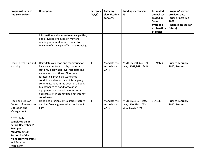| <b>Programs/Service</b><br><b>And Subservices</b>                                                                                                                                                                                                               | <b>Description</b>                                                                                                                                                                                                                                                                                                                                                                                                             | Category<br>(1,2,3) | Category<br>classification<br>concerns         | <b>Funding mechanism-</b><br>%                                      | <b>Estimated</b><br>annual cost<br>(based on<br>5-year<br>average or<br>explanation<br>of costs) | <b>Program/Service</b><br>provided date<br>(prior or post Feb<br>2022)<br>(indicate present or<br>future). |
|-----------------------------------------------------------------------------------------------------------------------------------------------------------------------------------------------------------------------------------------------------------------|--------------------------------------------------------------------------------------------------------------------------------------------------------------------------------------------------------------------------------------------------------------------------------------------------------------------------------------------------------------------------------------------------------------------------------|---------------------|------------------------------------------------|---------------------------------------------------------------------|--------------------------------------------------------------------------------------------------|------------------------------------------------------------------------------------------------------------|
|                                                                                                                                                                                                                                                                 | information and science to municipalities,<br>and provision of advice on matters<br>relating to natural hazards policy to<br>Ministry of Municipal Affairs and Housing.                                                                                                                                                                                                                                                        |                     |                                                |                                                                     |                                                                                                  |                                                                                                            |
| Flood Forecasting and<br>Warning                                                                                                                                                                                                                                | Daily data collection and monitoring of<br>local weather forecasts hydrometric<br>stations, local water level forecasts and<br>watershed conditions. Flood event<br>forecasting, provincial watershed<br>condition statements and inter agency<br>communications in the event of a flood.<br>Maintenance of flood forecasting<br>equipment and annual meeting with<br>applicable inter agency flood emergency<br>coordinators. | $\mathbf{1}$        | Mandatory in<br>accordance to<br><b>CA Act</b> | MNRF: \$32,006 = 16%<br>Levy: $$167,967 = 84\%$                     | \$199,973                                                                                        | Prior to February<br>2022, Present                                                                         |
| Flood and Erosion<br>Control Infrastructure<br>Operation and<br>Management<br><b>NOTE: To be</b><br>completed on or<br>before December 31,<br>2024 per<br>requirements in<br>Section 5 of the<br><b>Mandatory Programs</b><br>and Services<br><b>Regulation</b> | Flood and erosion control infrastructure<br>and low flow augmentation. Includes 1<br>dam                                                                                                                                                                                                                                                                                                                                       | $\mathbf{1}$        | Mandatory in<br>accordance to<br>CA Act        | MNRF: $$2,617 = 19\%$<br>Levy: \$10,894 = 77%<br>WECI: $$625 = 4\%$ | \$14,136                                                                                         | Prior to February<br>2022, Present                                                                         |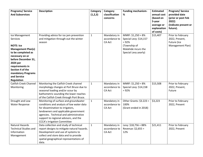| <b>Programs/Service</b><br><b>And Subservices</b>                                                                                                                                              | <b>Description</b>                                                                                                                                                                                                                                                                      | Category<br>(1,2,3) | Category<br>classification<br>concerns  | <b>Funding mechanism-</b><br>%                                                                                           | <b>Estimated</b><br>annual cost<br>(based on<br>5-year<br>average or<br>explanation | Program/Service<br>provided date<br>(prior or post Feb<br>2022)<br>(indicate present or<br>future). |
|------------------------------------------------------------------------------------------------------------------------------------------------------------------------------------------------|-----------------------------------------------------------------------------------------------------------------------------------------------------------------------------------------------------------------------------------------------------------------------------------------|---------------------|-----------------------------------------|--------------------------------------------------------------------------------------------------------------------------|-------------------------------------------------------------------------------------|-----------------------------------------------------------------------------------------------------|
|                                                                                                                                                                                                |                                                                                                                                                                                                                                                                                         |                     |                                         |                                                                                                                          | of costs)                                                                           |                                                                                                     |
| Ice Management<br>Services<br><b>NOTE: Ice</b><br><b>Management Plan(s)</b><br>to be completed as<br>necessary on or<br>before December 31,<br>2024 per<br>requirements in<br>Section 4 of the | Providing advice for ice jam prevention<br>and mitigation through-out the winter<br>season                                                                                                                                                                                              | $\mathbf{1}$        | Mandatory in<br>accordance to<br>CA Act | MNRF: $$1,250 = 8\%$<br>Special Levy: \$14,157<br>$= 92%$<br>(Township of<br>Malahide incurs the<br>Special Levy yearly) | \$15,407                                                                            | Prior to February<br>2022, Present,<br>Future (Ice<br>Management Plan)                              |
| mandatory Programs<br>and Service<br><b>Regulation</b>                                                                                                                                         |                                                                                                                                                                                                                                                                                         |                     |                                         |                                                                                                                          |                                                                                     |                                                                                                     |
| <b>Catfish Creek Channel</b><br>Monitoring                                                                                                                                                     | Monitoring the Catfish Creek channel<br>morphology changes at Port Bruce due to<br>seasonal loading and/or scour by<br>bathometric sounding the lower reaches<br>of the Catfish Creek through Port Bruce.                                                                               | $\mathbf{1}$        | Mandatory in<br>accordance to<br>CA Act | MNRF: $$1,250 = 8\%$<br>Special Levy: \$14,158<br>$= 92%$                                                                | \$15,508                                                                            | Prior to February<br>2022, Present,<br>Future                                                       |
| Drought and Low<br><b>Water Response</b>                                                                                                                                                       | Monitoring of surface and groundwater<br>conditions and analysis of low water data<br>for dissemination to irrigators,<br>landowners and applicable government<br>agencies. Technical and administrative<br>support to regional advisors, and the<br><b>CCCA's Irrigation Committee</b> | $\mathbf{1}$        | Mandatory in<br>accordance to<br>CA Act | Other Grants: $$3.223 =$<br>100%<br>(Grant ended in 2018)                                                                | \$3,223                                                                             | Prior to February<br>2022, Present                                                                  |
| <b>Natural Hazards</b><br><b>Technical Studies and</b><br>Information<br>Management                                                                                                            | Data collection and study of technical<br>report designs to mitigate natural hazards.<br>Development and use of systems to<br>collect and store data and to provide<br>spatial geographical representations of<br>data.                                                                 | $\mathbf{1}$        | Mandatory in<br>accordance to<br>CA Act | Levy: $$18,756 = 88\%$<br>Revenue: \$2,655 =<br>12%                                                                      | \$21,411                                                                            | Prior to February<br>2022, Present                                                                  |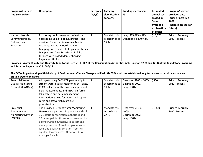| <b>Programs/Service</b>             | <b>Description</b>                                                                                                                                         | Category     | Category       | <b>Funding mechanism-</b> | <b>Estimated</b> | Program/Service      |
|-------------------------------------|------------------------------------------------------------------------------------------------------------------------------------------------------------|--------------|----------------|---------------------------|------------------|----------------------|
| <b>And Subservices</b>              |                                                                                                                                                            | (1,2,3)      | classification | %                         | annual cost      | provided date        |
|                                     |                                                                                                                                                            |              | concerns       |                           | (based on        | (prior or post Feb   |
|                                     |                                                                                                                                                            |              |                |                           | 5-year           | 2022)                |
|                                     |                                                                                                                                                            |              |                |                           | average or       | (indicate present or |
|                                     |                                                                                                                                                            |              |                |                           | explanation      | future).             |
|                                     |                                                                                                                                                            |              |                |                           | of costs)        |                      |
| <b>Natural Hazards</b>              | Promoting public awareness of natural                                                                                                                      | $\mathbf{1}$ | Mandatory in   | Levy: \$15,623 = 97%      | \$16,073         | Prior to February    |
| Communications,                     | hazards including flooding, drought, and                                                                                                                   |              | accordance to  | Donations: \$450 = 3%     |                  | 2022, Present        |
| Outreach and                        | erosion. Social media services. Media                                                                                                                      |              | <b>CA Act</b>  |                           |                  |                      |
| Education                           | relations. Natural Hazards Studies,                                                                                                                        |              |                |                           |                  |                      |
|                                     | Mapping and Updates to Regulation Limits                                                                                                                   |              |                |                           |                  |                      |
|                                     | Mapping and Data Transfer to Public,                                                                                                                       |              |                |                           |                  |                      |
|                                     | through Web based Map(s) showing                                                                                                                           |              |                |                           |                  |                      |
|                                     | Regulation Limits.                                                                                                                                         |              |                |                           |                  |                      |
| and Services Regulation O.R. 686/21 | Provincial Water Quality and Quantity Monitoring - see 21.1 (1) 2 of the Conservation Authorities Act; ; Section 12(2) and 12(3) of the Mandatory Programs |              |                |                           |                  |                      |
|                                     |                                                                                                                                                            |              |                |                           |                  |                      |
|                                     | The CCCA, in partnership with Ministry of Environment, Climate Change and Parks (MECP), and has established long term sites to monitor surface and         |              |                |                           |                  |                      |
| ground water conditions.            |                                                                                                                                                            |              |                |                           |                  |                      |
| <b>Provincial Water</b>             | A long-standing CA/MECP partnership for                                                                                                                    | $\mathbf{1}$ | Mandatory in   | Reserves: \$800 = 100%    | \$800            | Prior to February    |
| <b>Quality Monitoring</b>           | stream water quality monitoring at 4 sites.                                                                                                                |              | accordance to  | Beginning 2022:           |                  | 2022, Present        |
| Network (PWQMN)                     | CCCA collects monthly water samples and                                                                                                                    |              | <b>CA Act</b>  | Levy: 100%                |                  |                      |
|                                     | field measurements and MECP performs                                                                                                                       |              |                |                           |                  |                      |
|                                     | lab analysis and data management.                                                                                                                          |              |                |                           |                  |                      |
|                                     | Information is used for watershed report                                                                                                                   |              |                |                           |                  |                      |
|                                     | cards and stewardship project                                                                                                                              |              |                |                           |                  |                      |
|                                     | prioritization.                                                                                                                                            |              |                |                           |                  |                      |
| Provincial                          | The Provincial Groundwater Monitoring                                                                                                                      | $\mathbf{1}$ | Mandatory in   | Reserves: \$1,300 =       | \$1,300          | Prior to February    |
| Groundwater                         | Network is a partnership program with all                                                                                                                  |              | accordance to  | 100%                      |                  | 2022, Present        |
| <b>Monitoring Network</b>           | 36 Ontario conservation authorities and                                                                                                                    |              | <b>CA Act</b>  | Beginning 2022:           |                  |                      |
| (PGMN)                              | 10 municipalities (in areas not covered by                                                                                                                 |              |                | Levy: 100%                |                  |                      |
|                                     | a conservation authority) to collect and                                                                                                                   |              |                |                           |                  |                      |
|                                     | manage ambient (baseline) groundwater                                                                                                                      |              |                |                           |                  |                      |
|                                     | level and quality information from key                                                                                                                     |              |                |                           |                  |                      |
|                                     | aquifers located across Ontario. CCCA                                                                                                                      |              |                |                           |                  |                      |
|                                     | manages 5 wells                                                                                                                                            |              |                |                           |                  |                      |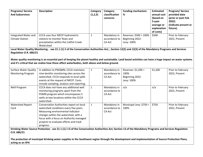| <b>Programs/Service</b><br><b>And Subservices</b>         | <b>Description</b>                                                                                                                                                                                                                                                                                                                                                                                                  | Category<br>(1,2,3) | Category<br>classification<br>concerns         | <b>Funding mechanism-</b><br>%                               | <b>Estimated</b><br>annual cost<br>(based on<br>5-year<br>average or<br>explanation<br>of costs) | Program/Service<br>provided date<br>(prior or post Feb<br>2022)<br>(indicate present or<br>future). |
|-----------------------------------------------------------|---------------------------------------------------------------------------------------------------------------------------------------------------------------------------------------------------------------------------------------------------------------------------------------------------------------------------------------------------------------------------------------------------------------------|---------------------|------------------------------------------------|--------------------------------------------------------------|--------------------------------------------------------------------------------------------------|-----------------------------------------------------------------------------------------------------|
| Integrated Water and<br><b>Climate Station</b>            | CCCA uses four MECP hydrometric<br>stations to monitor flows and<br>precipitation within the Catfish Creek<br>Watershed                                                                                                                                                                                                                                                                                             | $\mathbf{1}$        | Mandatory in<br>accordance to<br><b>CA Act</b> | Reserves: \$500 = 100%<br>Beginning 2022:<br>Levy: 100%      | \$500                                                                                            | Prior to February<br>2022, Present                                                                  |
| Regulation O.R. 686/21                                    | Local Water Quality Monitoring - see 21.1 (1) 2 of the Conservation Authorities Act; ; Section 12(2) and 12(3) of the Mandatory Programs and Services<br>Water quality monitoring is an essential part of keeping the planet healthy and sustainable. Land based activities can have a huge impact on water systems<br>and it's critical that we realise how these affect waterbodies, both above and below ground. |                     |                                                |                                                              |                                                                                                  |                                                                                                     |
| <b>Surface Water Quality</b><br><b>Monitoring Program</b> | In addition to PWQMN, CCCA maintains<br>nine benthic monitoring sites across the<br>watershed. CCCA responds to local spills<br>events at the request of MECP. Costs<br>include sampling, analysis and reporting.                                                                                                                                                                                                   | $\mathbf{1}$        | Mandatory in<br>accordance to<br>CA Act        | Reserves: \$1,200 =<br>100%<br>Beginning 2022:<br>Levy: 100% | \$1,200                                                                                          | Prior to February<br>2022, Present                                                                  |
| Well Program                                              | CCCA does not have any additional well<br>monitoring programs apart from the<br>PGMN program which encompasses 5<br>wells at two locations within the CCCA<br>watershed.                                                                                                                                                                                                                                            | $\mathbf{1}$        | Mandatory in<br>accordance to<br>CA Act        | n/a                                                          | n/a                                                                                              | Prior to February<br>2022, Present                                                                  |
| <b>Watershed Report</b><br>Card                           | Conservation Authorities report on local<br>watershed conditions every five years.<br>Measuring environmental indicator<br>changes within the watershed, with a<br>focus with a focus on Authority managed<br>projects to evaluate efforts and track<br>progress.                                                                                                                                                   | $\mathbf{1}$        | Mandatory in<br>accordance to<br><b>CA Act</b> | Municipal Levy: \$750 =<br>100%                              | \$750                                                                                            | Prior to February<br>2022, Present                                                                  |
| O.R. 686/21<br>acting as an SPA                           | Drinking Water Source Protection - see 21.1 (1) 1 iii of the Conservation Authorities Act; Section 13 of the Mandatory Programs and Services Regulation<br>The protection of municipal drinking water supplies in the Southwest region through the development and implementation of Source Protection Plans,                                                                                                       |                     |                                                |                                                              |                                                                                                  |                                                                                                     |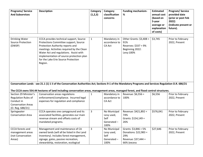| <b>Programs/Service</b><br><b>And Subservices</b>                                                           | <b>Description</b>                                                                                                                                                                                                                                                                                         | Category<br>(1,2,3) | Category<br>classification<br>concerns                   | <b>Funding mechanism-</b><br>$\%$                                                            | <b>Estimated</b><br>annual cost<br>(based on<br>5-year<br>average or<br>explanation<br>of costs) | Program/Service<br>provided date<br>(prior or post Feb<br>2022)<br>(indicate present or<br>future). |
|-------------------------------------------------------------------------------------------------------------|------------------------------------------------------------------------------------------------------------------------------------------------------------------------------------------------------------------------------------------------------------------------------------------------------------|---------------------|----------------------------------------------------------|----------------------------------------------------------------------------------------------|--------------------------------------------------------------------------------------------------|-----------------------------------------------------------------------------------------------------|
| <b>Drinking Water</b><br><b>Source Protection</b><br>(DWSP)                                                 | CCCA provides technical support, Source<br>Protections Committee support, Source<br>Protection Authority reports and<br>meetings. Activities required by the Clean<br>Water Act and regulations. Assist with<br>implementation of source protection plan<br>for the Lake Erie Source Protection<br>Region. | $\mathbf{1}$        | Mandatory in<br>accordance to<br>CA Act                  | Other Grants: $$3,408 =$<br>91%<br>Reserves: \$337 = 9%<br>Beginning 2022:<br>Levy:100%      | \$3,745                                                                                          | Prior to February<br>2022, Present                                                                  |
|                                                                                                             | Conservation Lands - see 21.1 (1) 1 ii of the Conservation Authorities Act; Sections 9-1 of the Mandatory Programs and Services Regulation O.R. 686/21<br>The CCCA owns 554.44 hectares of land including conservation areas, management areas, managed forest, and flood control structures.              |                     |                                                          |                                                                                              |                                                                                                  |                                                                                                     |
| Section 29 Minister's<br>Regulation Rules of<br>Conduct in<br><b>Conservation Areas</b><br>(O. Reg. 688/21) | Conservation areas regulations<br>enforcement/compliance. Incurred legal<br>expenses for regulation and compliance                                                                                                                                                                                         | $\mathbf{1}$        | Mandatory in<br>accordance to<br>CA Act                  | Revenue: \$6,556 =<br>100%                                                                   | \$6,556                                                                                          | Prior to February<br>2022, Present                                                                  |
| Springwater<br><b>Conservation Area</b>                                                                     | CCCA operates one campground and its<br>associated facilities, generates our main<br>revenue stream and offsets costs of<br>mandated programs.                                                                                                                                                             | 3                   | No Municipal<br>Levy used,<br>Self<br>Generated-<br>100% | Revenue: \$421,892 =<br>74%<br>Grants: $$154,149 =$<br>26%                                   | \$576,041                                                                                        | Prior to February<br>2022, Present                                                                  |
| <b>CCCA</b> forests and<br>management areas<br>(not Conservation<br>Areas)                                  | Management and maintenance of CA<br>owned lands (will all be listed in the Land<br>Inventory). Includes forest management,<br>signage, gates, passive recreation,<br>stewardship, restoration, ecological                                                                                                  | 3                   | No Municipal<br>Levy used,<br>Self<br>Generated-<br>100% | Grants: $$3,846 = 5\%$<br>Donations: \$22,983 =<br>29%<br>Revenue: \$37,444 =<br>66% (excess | \$27,646                                                                                         | Prior to February<br>2022, Present                                                                  |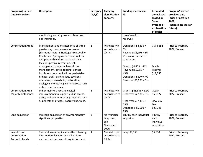| <b>Programs/Service</b><br><b>And Subservices</b>      | <b>Description</b>                                                                                                                                                                                                                                                                                                                                                                                                                                                                                                             | Category<br>(1,2,3) | Category<br>classification<br>concerns                   | <b>Funding mechanism-</b><br>%                                                                                                                                                                          | <b>Estimated</b><br>annual cost<br>(based on<br>5-year<br>average or<br>explanation<br>of costs) | Program/Service<br>provided date<br>(prior or post Feb<br>2022)<br>(indicate present or<br>future). |
|--------------------------------------------------------|--------------------------------------------------------------------------------------------------------------------------------------------------------------------------------------------------------------------------------------------------------------------------------------------------------------------------------------------------------------------------------------------------------------------------------------------------------------------------------------------------------------------------------|---------------------|----------------------------------------------------------|---------------------------------------------------------------------------------------------------------------------------------------------------------------------------------------------------------|--------------------------------------------------------------------------------------------------|-----------------------------------------------------------------------------------------------------|
|                                                        | monitoring, carrying costs such as taxes<br>and insurance.                                                                                                                                                                                                                                                                                                                                                                                                                                                                     |                     |                                                          | transferred to<br>reserves)                                                                                                                                                                             |                                                                                                  |                                                                                                     |
| <b>Conservation Areas</b>                              | Management and maintenance of three<br>passive day use conservation areas<br>(Yarmouth Natural Heritage Area, Archie<br>Coulter and Springwater Forest, not the<br>Campground) with recreational trails.<br>Includes passive recreation, risk<br>management program, hazard tree<br>management, gates, fencing, signage,<br>brochures, communications, pedestrian<br>bridges, trails, parking lots, pavilions,<br>roadways, stewardship, restoration,<br>ecological monitoring, carrying costs such<br>as taxes and insurance. | $\mathbf 1$         | Mandatory in<br>accordance to<br>CA Act                  | Donations: \$4,398 =<br>6%<br>Revenue: \$6,191 = 8%<br>% (excess transferred<br>to reserves)<br>Grants: $$4,808 = 41\%$<br>Revenue: \$5,058 =<br>43%<br>Donations: \$800 = 7%<br>Reserves: \$1,089 = 9% | C.A. \$552<br>Maple<br>Festival:<br>\$11,755                                                     | Prior to February<br>2022, Present                                                                  |
| <b>Conservation Area</b><br><b>Major Maintenance</b>   | Major maintenance and capital<br>improvements to support public access,<br>safety and environmental protection such<br>as pedestrian bridges, boardwalks, trails.                                                                                                                                                                                                                                                                                                                                                              | $\mathbf{1}$        | Mandatory in<br>accordance to<br>CA Act                  | Grants: $$48,641 = 62\%$<br>Reserves: $$2,186 = 3\%$<br>Reserves: \$17,381 =<br>75%<br>Donations: $$5,660 =$<br>25%                                                                                     | <b>GLLAF</b><br>\$50,827<br>SPW C.A.<br>Dev.<br>\$23,041                                         | Prior to February<br>2022, Present                                                                  |
| Land acquisition                                       | Strategic acquisition of environmentally<br>significant properties.                                                                                                                                                                                                                                                                                                                                                                                                                                                            | $\overline{3}$      | No Municipal<br>Levy used,<br>Self<br>Generated-<br>100% | TBD by each individual<br>acquisition                                                                                                                                                                   | TBD by<br>each<br>individual<br>acquisition                                                      | Prior to February<br>2022, Present                                                                  |
| Inventory of<br>Conservation<br><b>Authority Lands</b> | The land inventory includes the following<br>information: location as well as date,<br>method and purpose of acquisition, land                                                                                                                                                                                                                                                                                                                                                                                                 | $\mathbf{1}$        | Mandatory in<br>accordance to<br><b>CA Act</b>           | Levy: \$5,550                                                                                                                                                                                           | \$5,550                                                                                          | Prior to February<br>2022, Present                                                                  |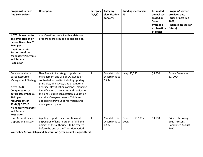| <b>Programs/Service</b><br><b>And Subservices</b><br><b>NOTE: Inventory to</b><br>be completed on or                                                                                                                                                | <b>Description</b><br>use. One-time project with updates as<br>properties are acquired or disposed of.                                                                                                                                                                                                                                                                                                                | Category<br>(1,2,3) | Category<br>classification<br>concerns         | <b>Funding mechanism-</b><br>% | <b>Estimated</b><br>annual cost<br>(based on<br>5-year<br>average or<br>explanation<br>of costs) | Program/Service<br>provided date<br>(prior or post Feb<br>2022)<br>(indicate present or<br>future). |
|-----------------------------------------------------------------------------------------------------------------------------------------------------------------------------------------------------------------------------------------------------|-----------------------------------------------------------------------------------------------------------------------------------------------------------------------------------------------------------------------------------------------------------------------------------------------------------------------------------------------------------------------------------------------------------------------|---------------------|------------------------------------------------|--------------------------------|--------------------------------------------------------------------------------------------------|-----------------------------------------------------------------------------------------------------|
| before December 31,<br>2024 per<br>requirements in<br>Section 10 of the<br><b>Mandatory Programs</b><br>and Service<br><b>Regulation</b>                                                                                                            |                                                                                                                                                                                                                                                                                                                                                                                                                       |                     |                                                |                                |                                                                                                  |                                                                                                     |
| Core Watershed -<br>based Resource<br><b>Management Strategy</b><br><b>NOTE: To Be</b><br>Completed on or<br>before December 31,<br>2024 per<br>requirements in<br>12(4)(9) OF THE<br><b>Mandatory Programs</b><br>and Service<br><b>Regulation</b> | New Project: A strategy to guide the<br>management and use of CA-owned or<br>controlled properties including: guiding<br>principles, objectives, land use, natural<br>heritage, classifications of lands, mapping,<br>identification of programs and services on<br>the lands, public consultation, publish on<br>website. One-year project. This is an<br>updated to previous conservation area<br>management plans. | $\mathbf{1}$        | Mandatory in<br>accordance to<br><b>CA Act</b> | Levy: \$5,550                  | \$5,550                                                                                          | <b>Future December</b><br>31, 2024)                                                                 |
| Land Acquisition and<br><b>Disposition Strategy</b>                                                                                                                                                                                                 | A policy to guide the acquisition and<br>disposition of land in order to fulfill the<br>objects of the authority is to be created<br>before the end of the Transition Period<br>Watershed Stewardship and Restoration (Urban, rural & agricultural)                                                                                                                                                                   | $\mathbf{1}$        | Mandatory in<br>accordance to<br><b>CA Act</b> | Reserves: \$3,500 =<br>100%    | \$3,500                                                                                          | Prior to February<br>2022, Present<br><b>Completed August</b><br>2020                               |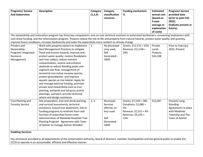| <b>Programs/Service</b>   | <b>Description</b>                                                                                                                                         | Category     | Category        | <b>Funding mechanism-</b> | <b>Estimated</b> | Program/Service      |
|---------------------------|------------------------------------------------------------------------------------------------------------------------------------------------------------|--------------|-----------------|---------------------------|------------------|----------------------|
| <b>And Subservices</b>    |                                                                                                                                                            | (1,2,3)      | classification  | %                         | annual cost      | provided date        |
|                           |                                                                                                                                                            |              | concerns        |                           | (based on        | (prior or post Feb   |
|                           |                                                                                                                                                            |              |                 |                           | 5-year           | 2022)                |
|                           |                                                                                                                                                            |              |                 |                           | average or       | (indicate present or |
|                           |                                                                                                                                                            |              |                 |                           | explanation      | future).             |
|                           |                                                                                                                                                            |              |                 |                           | of costs)        |                      |
|                           | The stewardship and restoration program has three key components: one-on-one technical assistant to watershed landowners, connecting landowners with       |              |                 |                           |                  |                      |
|                           | cost-share funding, and the reforestation program. Projects reduce the risk to life and property from natural hazards, protect water quality and quantity, |              |                 |                           |                  |                      |
|                           | improve forest conditions, increase biodiversity and make the watersheds more resilient to climate change.                                                 |              |                 |                           |                  |                      |
| Private Land              | Work with property owners to implement                                                                                                                     | $\mathbf{3}$ | No Municipal    | Grants: \$12,572 = 32%    | Private          | Prior to February    |
| Stewardship               | Best Management Practices to mitigate                                                                                                                      |              | Levy used,      | Revenue: \$11,536 =       | Lands            | 2022, Present        |
| Program/ Integrated       | flood and erosion hazards, improve and                                                                                                                     |              | Self            | 29%                       | Projects:        |                      |
| Resource                  | protect water quality, restore floodplains                                                                                                                 |              | Generated $-$   |                           | \$24,108         |                      |
| Management                | and river valleys, reduce nutrient                                                                                                                         |              | 100%            |                           |                  |                      |
|                           | contamination, restore and enhance                                                                                                                         |              |                 |                           |                  |                      |
|                           | wetlands to reduce flooding peaks and                                                                                                                      |              |                 |                           |                  |                      |
|                           | augment low flow, management of                                                                                                                            |              |                 |                           |                  |                      |
|                           | terrestrial non-native invasive species,                                                                                                                   |              |                 |                           |                  |                      |
|                           | protect groundwater, and improve                                                                                                                           |              |                 |                           |                  |                      |
|                           | aquatic species at risk habitat. Apply for                                                                                                                 |              |                 |                           |                  |                      |
|                           | and manage external funding, promote                                                                                                                       |              |                 |                           |                  |                      |
|                           | private land stewardship such as tree                                                                                                                      |              |                 |                           |                  |                      |
|                           | planting, wetlands and tall grass prairie                                                                                                                  |              |                 |                           |                  |                      |
|                           | plantings, outreach, provide technical                                                                                                                     |              |                 |                           |                  |                      |
|                           | advice and design assistance.                                                                                                                              |              |                 |                           |                  |                      |
| Tree Planting and         | Site preparation, tree and shrub planting,                                                                                                                 | 2, 3         | Municipal       | Grants: $$7,218 = 18\%$   | \$15,047         | Present/Long         |
| <b>Forestry Service</b>   | and survival assessments, technical                                                                                                                        |              | <b>Services</b> | Donations: \$1,080 =      |                  | Standing             |
|                           | assistance, hazard tree abatement, link to                                                                                                                 |              | offered, no     | 3%                        |                  | Agreements in place  |
|                           | funding programs to maintain form and                                                                                                                      |              | levy used.      | Revenue: \$1,515 = 4%     |                  | with Malahide        |
|                           | function of watershed forest cover.                                                                                                                        |              |                 | Reserves: \$5,234 =       |                  | Township and The     |
|                           | Administration of Malahide Roadside Tree                                                                                                                   |              | Self            | 13%                       |                  | Town of Aylmer       |
|                           | Planting Program. Agreement with Town                                                                                                                      |              | Generated -     |                           |                  |                      |
|                           | of Aylmer to manage Aylmer Woodlot                                                                                                                         |              | 100%            |                           |                  |                      |
|                           |                                                                                                                                                            |              |                 |                           |                  |                      |
| <b>Enabling Services:</b> |                                                                                                                                                            |              |                 |                           |                  |                      |

Key assistance provided to all departments of the conservation authority, board of directors, member municipalities and the general public to enable the CCCA to operate in an accountable, efficient and effective manner.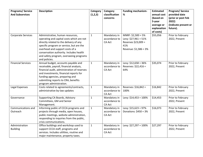| <b>Programs/Service</b><br><b>And Subservices</b> | <b>Description</b>                                                                                                                                                                                                                                                                                             | Category<br>(1,2,3) | Category<br>classification<br>concerns         | <b>Funding mechanism-</b><br>%                                                                      | <b>Estimated</b><br>annual cost<br>(based on<br>5-year<br>average or<br>explanation<br>of costs) | Program/Service<br>provided date<br>(prior or post Feb<br>2022)<br>(indicate present or<br>future). |
|---------------------------------------------------|----------------------------------------------------------------------------------------------------------------------------------------------------------------------------------------------------------------------------------------------------------------------------------------------------------------|---------------------|------------------------------------------------|-----------------------------------------------------------------------------------------------------|--------------------------------------------------------------------------------------------------|-----------------------------------------------------------------------------------------------------|
| Corporate Services                                | Administrative, human resources,<br>operating and capital costs which are not<br>directly related to the delivery of any<br>specific program or service, but are the<br>overhead and support costs of a<br>conservation authority. Includes health<br>and safety program, overseeing programs<br>and policies. | $\mathbf{1}$        | Mandatory in<br>accordance to<br>CA Act        | MNRF: $$2,500 = 5\%$<br>Levy: \$27,961 = 51%<br>Reserves \$23,009 =<br>41%<br>Revenue: \$1,586 = 3% | \$55,056                                                                                         | Prior to February<br>2022, Present                                                                  |
| <b>Financial Services</b>                         | Annual budget, accounts payable and<br>receivable, payroll, financial analysis,<br>financial audit, administration of reserves<br>and investments, financial reports for<br>funding agencies, preparing and<br>submitting reports to CRA, benefits<br>program administration.                                  | $\mathbf{1}$        | Mandatory in<br>accordance to<br><b>CA Act</b> | Levy: $$12,658 = 36\%$<br>Reserves: \$22,416 =<br>64%                                               | \$35,074                                                                                         | Prior to February<br>2022, Present                                                                  |
| Legal Expenses                                    | Costs related to agreements/contracts,<br>administrative by-law updates                                                                                                                                                                                                                                        | $\mathbf{1}$        | Mandatory in<br>accordance to<br><b>CA Act</b> | Reserves: \$16,842 =<br>100%                                                                        | \$16,842                                                                                         | Prior to February<br>2022, Present                                                                  |
| Governance                                        | Supporting CA Boards, Advisory<br>Committees, GM and Senior<br>Management.                                                                                                                                                                                                                                     | $\mathbf{1}$        | Mandatory in<br>accordance to<br>CA Act        | Levy: \$14,453 = 100%                                                                               | \$14,453                                                                                         | Prior to February<br>2022, Present                                                                  |
| Communications and<br>Outreach                    | Informing public of CCCA programs and<br>projects through media, open houses,<br>public meetings, website administration,<br>responding to inquiries from the public,<br>crisis communications.                                                                                                                | $\mathbf{1}$        | Mandatory in<br>accordance to<br>CA Act        | Levy: \$15,623 = 97%<br>Donations: \$450 = 3%                                                       | \$16,073                                                                                         | Prior to February<br>2022, Present                                                                  |
| Administration<br><b>Building</b>                 | Office buildings and workshop used to<br>support CCCA staff, programs and<br>services. Includes utilities, routine and<br>major maintenance, property taxes.                                                                                                                                                   | $\mathbf{1}$        | Mandatory in<br>accordance to<br><b>CA Act</b> | Levy: \$27,297 = 100%                                                                               | \$27,297                                                                                         | Prior to February<br>2022, Present                                                                  |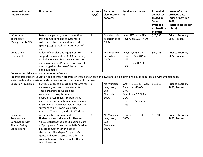| <b>Programs/Service</b><br><b>And Subservices</b>                                                                                                                                                                                                                                | <b>Description</b>                                                                                                                                                                                                                                                                                                                                                | Category<br>(1,2,3) | Category<br>classification<br>concerns                   | <b>Funding mechanism-</b><br>%                                                                                          | <b>Estimated</b><br>annual cost<br>(based on<br>5-year<br>average or<br>explanation | Program/Service<br>provided date<br>(prior or post Feb<br>2022)<br>(indicate present or<br>future). |  |  |
|----------------------------------------------------------------------------------------------------------------------------------------------------------------------------------------------------------------------------------------------------------------------------------|-------------------------------------------------------------------------------------------------------------------------------------------------------------------------------------------------------------------------------------------------------------------------------------------------------------------------------------------------------------------|---------------------|----------------------------------------------------------|-------------------------------------------------------------------------------------------------------------------------|-------------------------------------------------------------------------------------|-----------------------------------------------------------------------------------------------------|--|--|
|                                                                                                                                                                                                                                                                                  |                                                                                                                                                                                                                                                                                                                                                                   |                     |                                                          |                                                                                                                         | of costs)                                                                           |                                                                                                     |  |  |
| Information<br>Technology<br>Management/ GIS                                                                                                                                                                                                                                     | Data management, records retention.<br>Development and use of systems to<br>collect and store data and to provide<br>spatial geographical representations of<br>data.                                                                                                                                                                                             | $\mathbf{1}$        | Mandatory in<br>accordance to<br><b>CA Act</b>           | Levy: \$27,141 = 92%<br>Revenue: \$2,654 = 9%                                                                           | \$29,795                                                                            | Prior to February<br>2022, Present                                                                  |  |  |
| Vehicle and<br>Equipment                                                                                                                                                                                                                                                         | A fleet of vehicles and equipment to<br>support the work of the CCCA, including<br>capital purchases, fuel, licenses, repairs<br>and maintenance. Programs and projects<br>are charged for the use of the vehicles<br>and equipment.                                                                                                                              | $\mathbf{1}$        | Mandatory in<br>accordance to<br><b>CA Act</b>           | Levy: $$4,405 = 7\%$<br>Revenue: \$32,045 =<br>48%<br>Reserves: \$30,708 =<br>46%                                       | \$67,158                                                                            | Prior to February<br>2022, Present                                                                  |  |  |
| <b>Conservation Education and Community Outreach</b><br>Program Description: Education and outreach programs increase knowledge and awareness in children and adults about local environmental issues,<br>watersheds and ecosystems and conservation actions they can implement. |                                                                                                                                                                                                                                                                                                                                                                   |                     |                                                          |                                                                                                                         |                                                                                     |                                                                                                     |  |  |
| <b>Education Programs</b>                                                                                                                                                                                                                                                        | Curriculum-based education programs for<br>elementary and secondary students.<br>These programs focus on local<br>watersheds, ecosystems, and<br>environmental issues. Programs take<br>place in the conservation areas and assist<br>to study the diverse ecosystems they are<br>surrounded by. Programs include,<br>Aquatics, Terrestrial, and Soils Workshops. | 3                   | No Municipal<br>Levy used,<br>Self<br>Generated-<br>100% | Grants: $$13,543 = 72\%$<br>Revenue: \$10,004 =<br>53%<br>Donations: \$2,020 =<br>11%<br>Reserves: -\$6,756 =<br>$-36%$ | \$18,811                                                                            | Prior to February<br>2022, Present                                                                  |  |  |
| Education<br>Programming in<br>Conjunction with<br><b>Thames Valley</b><br>Schoolboard                                                                                                                                                                                           | An annual Memorandum of<br>Understanding is signed with Thames<br>Valley District Schoolboard leasing a part<br>of Springwater Forest to the Jaffa Outdoor<br><b>Education Center for an outdoor</b><br>classroom. The Maple Program, Marsh<br>Quest and Forest Festival are all ran in<br>conjunction with Thames Valley District<br>Schoolboard staff.          | 3                   | No Municipal<br>Levy used,<br>Self<br>Generated-<br>100% | Revenue: \$12,500 =<br>100%                                                                                             | \$12,500                                                                            | Prior to February<br>2022, Present                                                                  |  |  |